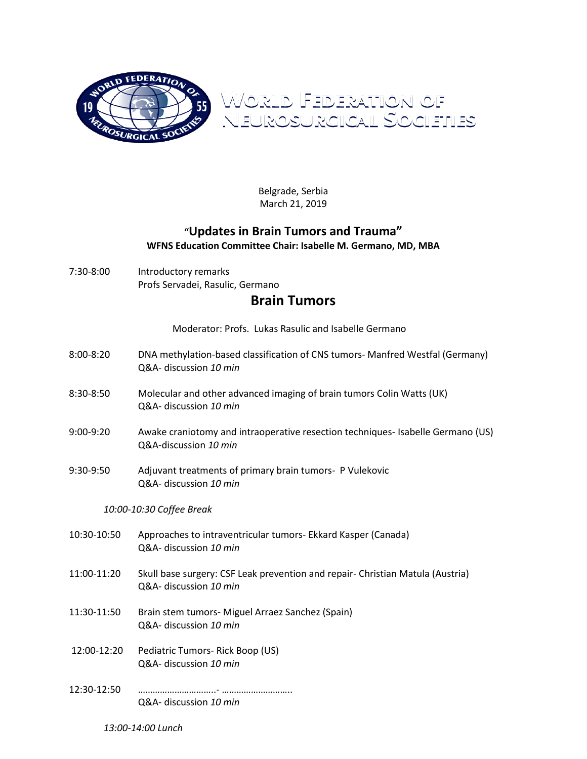

Belgrade, Serbia March 21, 2019

## **"Updates in Brain Tumors and Trauma" WFNS Education Committee Chair: Isabelle M. Germano, MD, MBA**

7:30-8:00 Introductory remarks Profs Servadei, Rasulic, Germano

## **Brain Tumors**

Moderator: Profs. Lukas Rasulic and Isabelle Germano

- 8:00-8:20 DNA methylation-based classification of CNS tumors- Manfred Westfal (Germany) Q&A- discussion *10 min*
- 8:30-8:50 Molecular and other advanced imaging of brain tumors Colin Watts (UK) Q&A- discussion *10 min*
- 9:00-9:20 Awake craniotomy and intraoperative resection techniques- Isabelle Germano (US) Q&A-discussion *10 min*
- 9:30-9:50 Adjuvant treatments of primary brain tumors- P Vulekovic Q&A- discussion *10 min*

## *10:00-10:30 Coffee Break*

- 10:30-10:50 Approaches to intraventricular tumors- Ekkard Kasper (Canada) Q&A- discussion *10 min*
- 11:00-11:20 Skull base surgery: CSF Leak prevention and repair- Christian Matula (Austria) Q&A- discussion *10 min*
- 11:30-11:50 Brain stem tumors- Miguel Arraez Sanchez (Spain) Q&A- discussion *10 min*
- 12:00-12:20 Pediatric Tumors- Rick Boop (US) Q&A- discussion *10 min*
- 12:30-12:50 …………………………..- ……………………….. Q&A- discussion *10 min*

*13:00-14:00 Lunch*